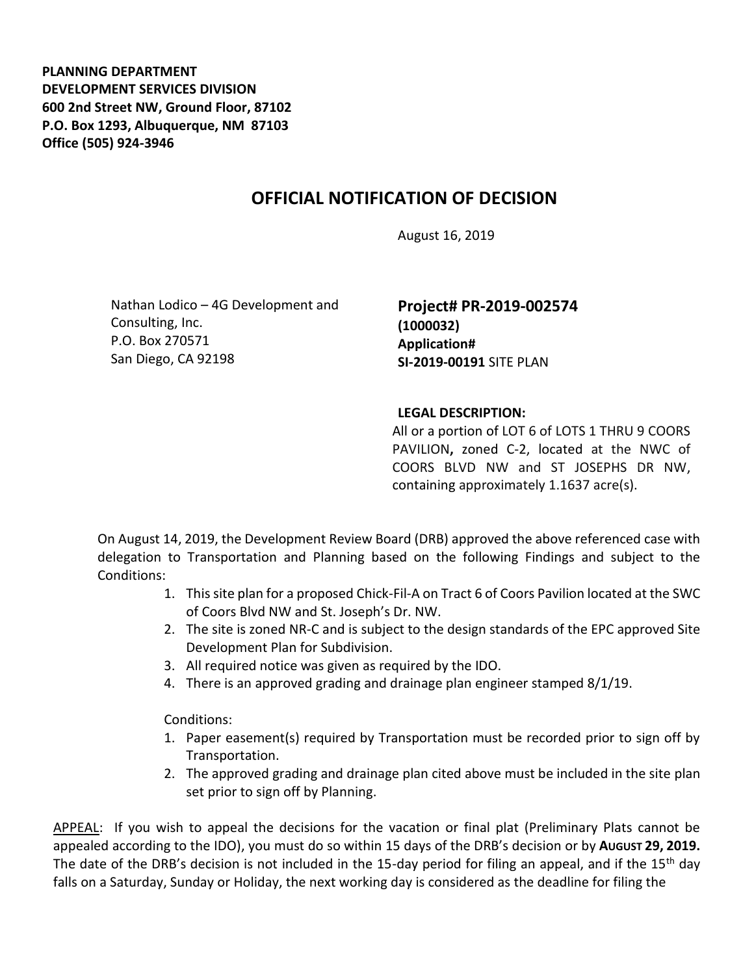**PLANNING DEPARTMENT DEVELOPMENT SERVICES DIVISION 600 2nd Street NW, Ground Floor, 87102 P.O. Box 1293, Albuquerque, NM 87103 Office (505) 924-3946** 

## **OFFICIAL NOTIFICATION OF DECISION**

August 16, 2019

Nathan Lodico – 4G Development and Consulting, Inc. P.O. Box 270571 San Diego, CA 92198

**Project# PR-2019-002574 (1000032) Application# SI-2019-00191** SITE PLAN

## **LEGAL DESCRIPTION:**

All or a portion of LOT 6 of LOTS 1 THRU 9 COORS PAVILION**,** zoned C-2, located at the NWC of COORS BLVD NW and ST JOSEPHS DR NW, containing approximately 1.1637 acre(s).

On August 14, 2019, the Development Review Board (DRB) approved the above referenced case with delegation to Transportation and Planning based on the following Findings and subject to the Conditions:

- 1. This site plan for a proposed Chick-Fil-A on Tract 6 of Coors Pavilion located at the SWC of Coors Blvd NW and St. Joseph's Dr. NW.
- 2. The site is zoned NR-C and is subject to the design standards of the EPC approved Site Development Plan for Subdivision.
- 3. All required notice was given as required by the IDO.
- 4. There is an approved grading and drainage plan engineer stamped 8/1/19.

Conditions:

- 1. Paper easement(s) required by Transportation must be recorded prior to sign off by Transportation.
- 2. The approved grading and drainage plan cited above must be included in the site plan set prior to sign off by Planning.

APPEAL: If you wish to appeal the decisions for the vacation or final plat (Preliminary Plats cannot be appealed according to the IDO), you must do so within 15 days of the DRB's decision or by **AUGUST 29, 2019.**  The date of the DRB's decision is not included in the 15-day period for filing an appeal, and if the 15<sup>th</sup> day falls on a Saturday, Sunday or Holiday, the next working day is considered as the deadline for filing the